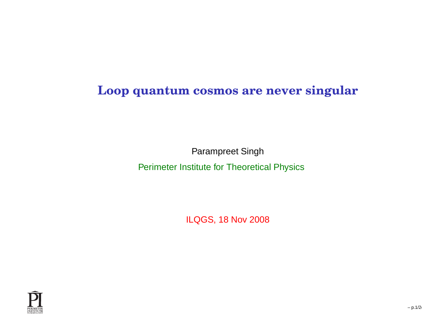#### **Loop quantum cosmos are never singular**

Parampreet Singh

Perimeter Institute for Theoretical Physics

ILQGS, 18 Nov 2008

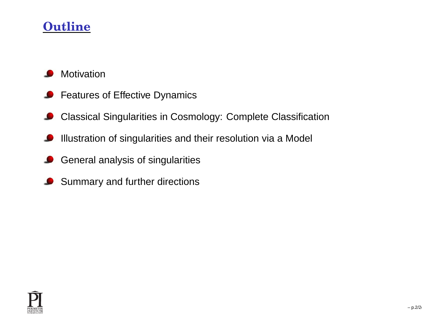#### **Outline**

- **Motivation**
- **P** Features of Effective Dynamics
- Classical Singularities in Cosmology: Complete ClassificationL
- Illustration of singularities and their resolution via <sup>a</sup> Model
- General analysis of singularities
- Summary and further directions◢

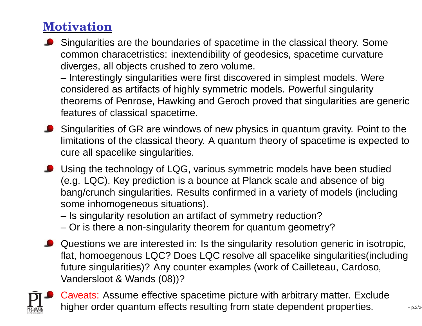# **Motivation**

 Singularities are the boundaries of spacetime in the classical theory. Some common characetristics: inextendibility of geodesics, spacetime curvaturediverges, all objects crushed to zero volume.

– Interestingly singularities were first discovered in simplest models. Wereconsidered as artifacts of highly symmetric models. Powerful singularity theorems of Penrose, Hawking and Geroch proved that singularities are genericfeatures of classical spacetime.

- **Singularities of GR are windows of new physics in quantum gravity. Point to the**  limitations of the classical theory. A quantum theory of spacetime is expected tocure all spacelike singularities.
- Using the technology of LQG, various symmetric models have been studied(e.g. LQC). Key prediction is <sup>a</sup> bounce at Planck scale and absence of big bang/crunch singularities. Results confirmed in <sup>a</sup> variety of models (includingsome inhomogeneous situations).
	- Is singularity resolution an artifact of symmetry reduction?
	- Or is there <sup>a</sup> non-singularity theorem for quantum geometry?
- Questions we are interested in: Is the singularity resolution generic in isotropic, flat, homoegenous LQC? Does LQC resolve all spacelike singularities(includingfuture singularities)? Any counter examples (work of Cailleteau, Cardoso, Vandersloot & Wands (08))?



Caveats: Assume effective spacetime picture with arbitrary matter. Excludehigher order quantum effects resulting from state dependent properties.  $\frac{1}{2}$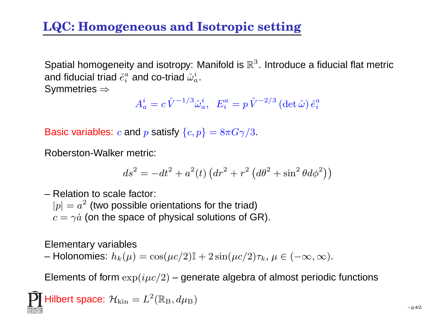# **LQC: Homogeneous and Isotropic setting**

Spatial homogeneity and isotropy: Manifold is  $\mathbb{R}^3.$  Introduce a fiducial flat metric and fiducial triad  $\mathring{e}^a_i$  $\stackrel{a}{i}$  and co-triad  $\mathring{\omega}_a^i.$ 

Symmetries  $\Rightarrow$ 

$$
A^i_a = c \mathring{V}^{-1/3} \mathring{\omega}^i_a, \ \ E^a_i = p \mathring{V}^{-2/3} \left(\det \mathring{\omega}\right) \mathring{e}^a_i
$$

Basic variables:  $c$  and  $p$  satisfy  $\{c,p\}=8\pi G \gamma/3.$ 

Roberston-Walker metric:

$$
ds^{2} = -dt^{2} + a^{2}(t) \left( dr^{2} + r^{2} \left( d\theta^{2} + \sin^{2} \theta d\phi^{2} \right) \right)
$$

– Relation to scale factor:  $\left|p\right|=a^2$  (two possible orientations for the triad)  $c=\gamma\dot{a}$  (on the space of physical solutions of GR).

Elementary variables

– Holonomies:  $h_k(\mu) = \cos(\mu c/2)\mathbb{I} + 2\sin(\mu c/2)\tau_k$ ,  $\mu \in (-\infty, \infty)$ .

Elements of form  $\exp(i\mu c/2)$  – generate algebra of almost periodic functions

$$
\prod_{\text{PUNETER}}\text{Hilbert space: } \mathcal{H}_{\text{kin}}=L^2(\mathbb{R}_{\text{B}},d\mu_{\text{B}})
$$

– p.4/24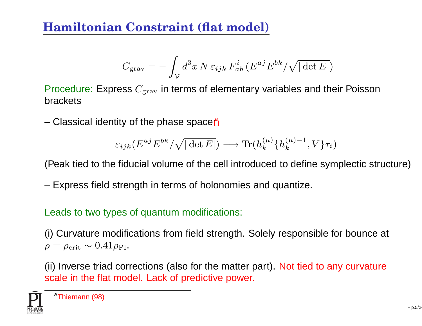#### **Hamiltonian Constraint (flat model)**

$$
C_{\rm grav} = -\int_{\mathcal{V}} d^3x \, N \, \varepsilon_{ijk} \, F_{ab}^i \, (E^{aj} E^{bk} / \sqrt{|\det E|})
$$

Procedure: Express  $C_{\rm grav}$  in terms of elementary variables and their Poisson brackets

– Cl[a](#page-4-0)ssical identity of the phase space:<del>ª</del>

$$
\varepsilon_{ijk}(E^{aj}E^{bk}/\sqrt{|\det E|}) \longrightarrow \text{Tr}(h_k^{(\mu)}\{h_k^{(\mu)-1},V\}\tau_i)
$$

(Peak tied to the fiducial volume of the cell introduced to define symplectic structure)

– Express field strength in terms of holonomies and quantize.

Leads to two types of quantum modifications:

(i) Curvature modifications from field strength. Solely responsible for bounce at  $\rho=\rho_{\rm crit}\sim0.41\rho_{\rm Pl}.$ 

(ii) Inverse triad corrections (also for the matter part). Not tied to any curvaturescale in the flat model. Lack of predictive power.

<span id="page-4-0"></span>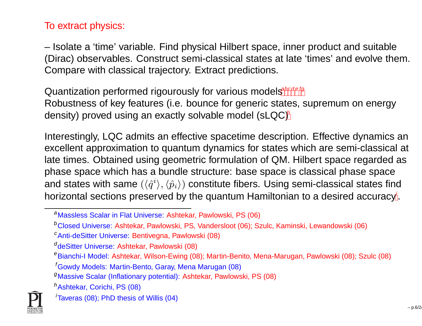#### To extract physics:

– Isolate <sup>a</sup> 'time' variable. Find physical Hilbert space, inner product and suitable (Dirac) observables. Construct semi-classical states at late 'times' and evolve them. Compare with classical trajectory. Extract predictions.

Quantization performe[d](#page-5-0) rigourously for various mod[e](#page-5-2)[l](#page-5-3)[s](#page-5-4)<sup>[a](#page-5-5)[bc](#page-5-6)defg</sup> Robustness of key features (i.e. bounce for generic states, supremum on energydensity) proved using an exactly solvable model  $(sLQC)^h$  $(sLQC)^h$  $(sLQC)^h$ 

Interestingly, LQC admits an effective spacetime description. Effective dynamics an excellent approximation to quantum dynamics for states which are semi-classical at late times. Obtained using geometric formulation of QM. Hilbert space regarded asphase space which has <sup>a</sup> bundle structure: base space is classical phase spaceand states with same  $(\langle \hat{q}^i\rangle, \langle \hat{p}_i\rangle)$  constitute fibers. Using semi-classical states find horizontal sections preserved by the quantum Hamiltonian to a desired accu[ra](#page-5-8)cy<sup>*i*</sup>.

<span id="page-5-8"></span><span id="page-5-7"></span>h<sub>Ashtekar, Corichi, PS (08)</sub>



aMassless Scalar in Flat Universe: Ashtekar, Pawlowski, PS (06)

<sup>b</sup>Closed Universe: Ashtekar, Pawlowski, PS, Vandersloot (06); Szulc, Kaminski, Lewandowski (06)<sup>c</sup>Anti-deSitter Universe: Bentivegna, Pawlowski (08)

 $d$ deSitter Universe: Ashtekar, Pawlowski (08)

<sup>&</sup>lt;sup>e</sup>Bianchi-I Model: Ashtekar, Wilson-Ewing (08); Martin-Benito, Mena-Marugan, Pawlowski (08); Szulc (08)

<sup>f</sup>Gowdy Models: Martin-Bento, Garay, Mena Marugan (08)

<span id="page-5-6"></span><span id="page-5-5"></span><span id="page-5-4"></span><span id="page-5-3"></span><span id="page-5-2"></span><span id="page-5-1"></span><span id="page-5-0"></span><sup>g</sup>Massive Scalar (Inflationary potential): Ashtekar, Pawlowski, PS (08)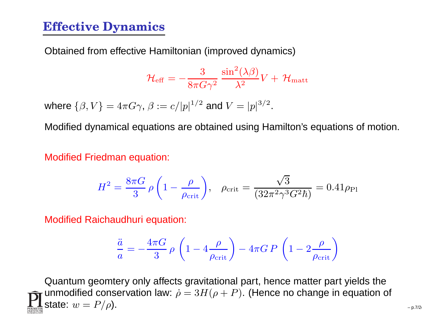#### **Effective Dynamics**

Obtained from effective Hamiltonian (improved dynamics)

$$
{\cal H}_{\rm eff}=-\frac{3}{8\pi G\gamma^2}\,\frac{\sin^2(\lambda\beta)}{\lambda^2}V+\,{\cal H}_{\rm matt}
$$

where  $\{\beta, V\} = 4\pi G \gamma$ ,  $\beta := c/|p|^{1/2}$  and  $V = |p|^{3/2}$ .

Modified dynamical equations are obtained using Hamilton's equations of motion.

Modified Friedman equation:

$$
H^{2} = \frac{8\pi G}{3} \rho \left( 1 - \frac{\rho}{\rho_{\text{crit}}} \right), \quad \rho_{\text{crit}} = \frac{\sqrt{3}}{(32\pi^{2}\gamma^{3}G^{2}\hbar)} = 0.41\rho_{\text{Pl}}
$$

Modified Raichaudhuri equation:

$$
\frac{\ddot{a}}{a} = -\frac{4\pi G}{3} \rho \left( 1 - 4 \frac{\rho}{\rho_{\rm crit}} \right) - 4\pi G P \left( 1 - 2 \frac{\rho}{\rho_{\rm crit}} \right)
$$

Quantum geomtery only affects gravitational part, hence matter part yields theunmodified conservation law:  $\dot{\rho}=3H(\rho+P).$  (Hence no change in equation of state:  $w =$  $= P/\rho$ ). – p.7/24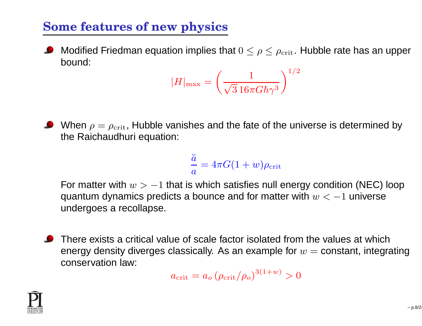## **Some features of new physics**

Modified Friedman equation implies that  $0\leq \rho \leq \rho_{\rm crit}.$  Hubble rate has an upper bound:

$$
|H|_{\text{max}} = \left(\frac{1}{\sqrt{3} 16\pi G \hbar \gamma^3}\right)^{1/2}
$$

When  $\rho=\rho_{\rm crit}$ , Hubble vanishes and the fate of the universe is determined by the Raichaudhuri equation:

$$
\frac{\ddot{a}}{a} = 4\pi G (1+w) \rho_{\rm crit}
$$

For matter with  $w > -1$  that is which satisfies null energy condition (NEC) loop quantum dynamics predicts a bounce and for matter with  $w<-1$  universe undergoes <sup>a</sup> recollapse.

There exists <sup>a</sup> critical value of scale factor isolated from the values at whichenergy density diverges classically. As an example for  $w=$  constant, integrating<br>espectuation low: conservation law:

$$
a_{\rm crit} = a_o \left(\rho_{\rm crit}/\rho_o\right)^{3(1+w)} > 0
$$

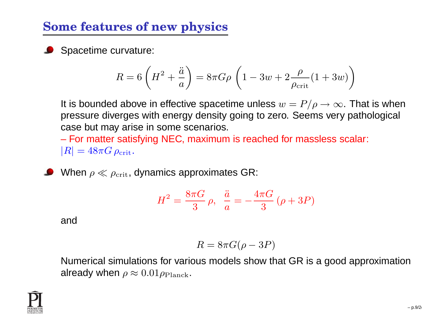## **Some features of new physics**

**Spacetime curvature:** 

$$
R = 6\left(H^2 + \frac{\ddot{a}}{a}\right) = 8\pi G\rho \left(1 - 3w + 2\frac{\rho}{\rho_{\rm crit}}(1 + 3w)\right)
$$

It is bounded above in effective spacetime unless  $w = P/\rho \rightarrow \infty$ . That is when pressure diverges with energy density going to zero. Seems very pathological case but may arise in some scenarios.

– For matter satisfying NEC, maximum is reached for massless scalar:  $|R| = 48\pi G\,\rho_{\mathrm{crit}}.$ 

When  $\rho\ll\rho_{\rm crit}$ , dynamics approximates GR:

$$
H^{2} = \frac{8\pi G}{3} \rho, \frac{\ddot{a}}{a} = -\frac{4\pi G}{3} (\rho + 3P)
$$

and

$$
R = 8\pi G(\rho - 3P)
$$

 Numerical simulations for various models show that GR is <sup>a</sup> good approximationalready when  $\rho\approx0.01\rho_{\rm Planck}.$ 

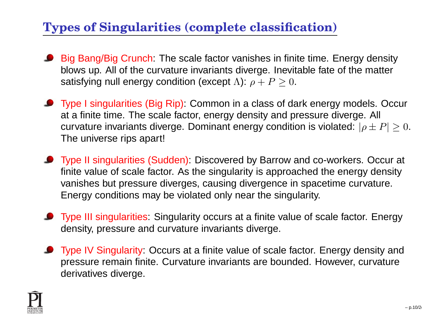# **Types of Singularities (complete classification)**

- **Big Bang/Big Crunch:** The scale factor vanishes in finite time. Energy density blows up. All of the curvature invariants diverge. Inevitable fate of the mattersatisfying null energy condition (except  $\Lambda$ ):  $\rho+P\geq0.$
- **O** Type I singularities (Big Rip): Common in a class of dark energy models. Occur at <sup>a</sup> finite time. The scale factor, energy density and pressure diverge. All curvature invariants diverge. Dominant energy condition is violated:  $|\rho\pm P|\geq 0.$ The universe rips apart!
- **O** Type II singularities (Sudden): Discovered by Barrow and co-workers. Occur at finite value of scale factor. As the singularity is approached the energy densityvanishes but pressure diverges, causing divergence in spacetime curvature. Energy conditions may be violated only near the singularity.
- **Type III singularities:** Singularity occurs at a finite value of scale factor. Energy density, pressure and curvature invariants diverge.
- **Type IV Singularity: Occurs at a finite value of scale factor. Energy density and**  pressure remain finite. Curvature invariants are bounded. However, curvaturederivatives diverge.

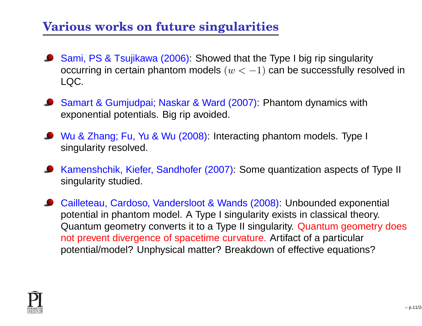## **Various works on future singularities**

- Sami, PS & Tsujikawa (2006): Showed that the Type I big rip singularity occurring in certain phantom models  $(w<-1)$  can be successfully resolved in LQC.
- Samart & Gumjudpai; Naskar & Ward (2007): Phantom dynamics with exponential potentials. Big rip avoided.
- Wu & Zhang; Fu, Yu & Wu (2008): Interacting phantom models. Type I singularity resolved.
- Kamenshchik, Kiefer, Sandhofer (2007): Some quantization aspects of Type II singularity studied.
- Cailleteau, Cardoso, Vandersloot & Wands (2008): Unbounded exponential potential in phantom model. A Type I singularity exists in classical theory. Quantum geometry converts it to <sup>a</sup> Type II singularity. Quantum geometry doesnot prevent divergence of spacetime curvature. Artifact of <sup>a</sup> particularpotential/model? Unphysical matter? Breakdown of effective equations?

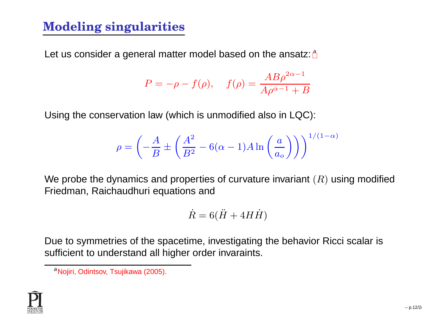## **Modeling singularities**

Let us consider [a](#page-11-0) general matter model based on the ansatz: a

$$
P = -\rho - f(\rho), \quad f(\rho) = \frac{AB\rho^{2\alpha - 1}}{A\rho^{\alpha - 1} + B}
$$

Using the conservation law (which is unmodified also in LQC):

$$
\rho = \left(-\frac{A}{B} \pm \left(\frac{A^2}{B^2} - 6(\alpha - 1)A \ln\left(\frac{a}{a_o}\right)\right)\right)^{1/(1-\alpha)}
$$

We probe the dynamics and properties of curvature invariant  $(R)$  using modified Friedman, Raichaudhuri equations and

$$
\dot{R} = 6(\ddot{H} + 4H\dot{H})
$$

Due to symmetries of the spacetime, investigating the behavior Ricci scalar issufficient to understand all higher order invaraints.

<span id="page-11-0"></span><sup>&</sup>lt;sup>a</sup>Nojiri, Odintsov, Tsujikawa (2005).

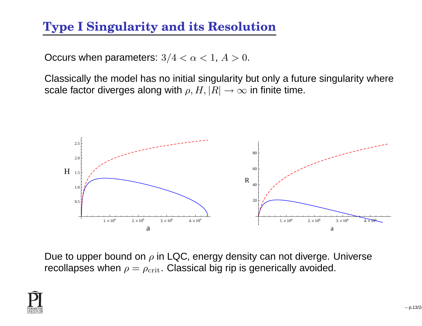## **Type I Singularity and its Resolution**

Occurs when parameters:  $3/4 < \alpha < 1, A > 0.$ 

Classically the model has no initial singularity but only <sup>a</sup> future singularity wherescale factor diverges along with  $\rho, H, |R| \to \infty$  in finite time.



Due to upper bound on  $\rho$  in LQC, energy density can not diverge. Universe recollapses when  $\rho=\rho_{\rm crit}.$  Classical big rip is generically avoided.

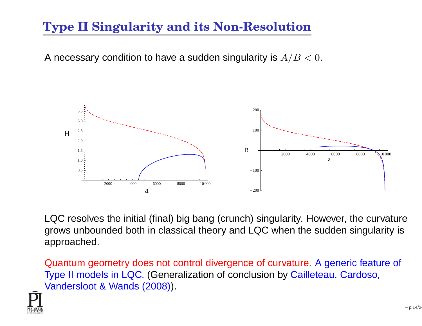# **Type II Singularity and its Non-Resolution**

A necessary condition to have a sudden singularity is  $A/B < 0.$ 



LQC resolves the initial (final) big bang (crunch) singularity. However, the curvature grows unbounded both in classical theory and LQC when the sudden singularity isapproached.

Quantum geometry does not control divergence of curvature. A generic feature of Type II models in LQC. (Generalization of conclusion by Cailleteau, Cardoso, Vandersloot & Wands (2008)).

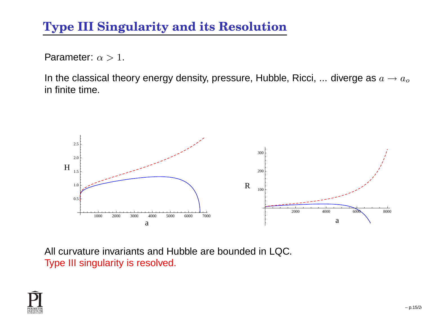# **Type III Singularity and its Resolution**

Parameter:  $\alpha > 1$ .

In the classical theory energy density, pressure, Hubble, Ricci, ... diverge as  $a\rightarrow a_o$ in finite time.



All curvature invariants and Hubble are bounded in LQC. Type III singularity is resolved.

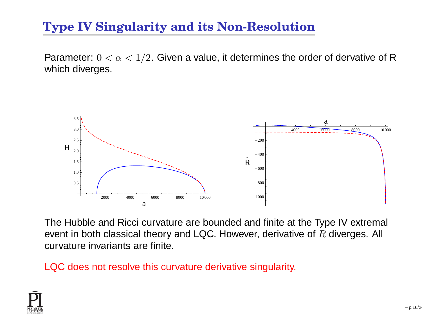# **Type IV Singularity and its Non-Resolution**

Parameter:  $0 < \alpha < 1/2$ . Given a value, it determines the order of dervative of R which diverges.



The Hubble and Ricci curvature are bounded and finite at the Type IV extremal event in both classical theory and LQC. However, derivative of  $R$  diverges. All<br>survature invariante are finite curvature invariants are finite.

LQC does not resolve this curvature derivative singularity.

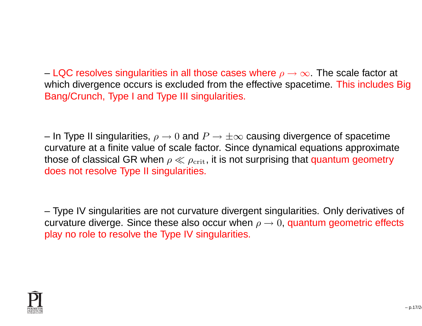– LQC resolves singularities in all those cases where  $\rho \to \infty$ . The scale factor at which divergence escure is excluded from the effective encoetime. This includes l which divergence occurs is excluded from the effective spacetime. This includes BigBang/Crunch, Type I and Type III singularities.

– In Type II singularities,  $\rho \rightarrow 0$  and  $P \rightarrow \pm \infty$  causing divergence of spacetime<br>curvature at a finite value of scale factor. Since dynamical equations approxima curvature at <sup>a</sup> finite value of scale factor. Since dynamical equations approximatethose of classical GR when  $\rho \ll \rho_{\rm crit}$ , it is not surprising that quantum geometry<br>does not resolve Type II singularities does not resolve Type II singularities.

– Type IV singularities are not curvature divergent singularities. Only derivatives of curvature diverge. Since these also occur when  $\rho \rightarrow 0$ , quantum geometric effects<br>play no role to resolve the Type IV singularities play no role to resolve the Type IV singularities.

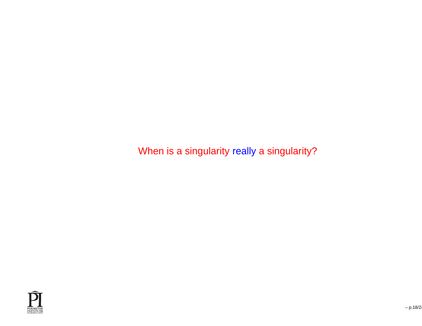When is <sup>a</sup> singularity really <sup>a</sup> singularity?

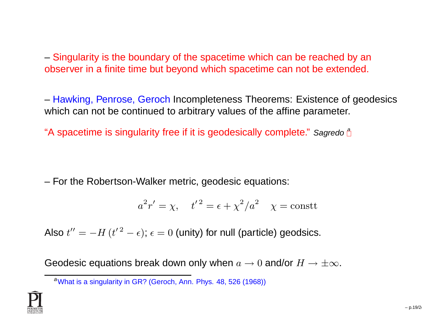– Singularity is the boundary of the spacetime which can be reached by an observer in <sup>a</sup> finite time but beyond which spacetime can not be extended.

– Hawking, Penrose, Geroch Incompleteness Theorems: Existence of geodesics which can not be continued to arbitrary values of the affine parameter.

"A spacetime is singularity free if it is geodesically complete." Sagredo  $^\mathsf{a}$ 

– For the Robertson-Walker metric, geodesic equations:

$$
a^2r' = \chi
$$
,  $t'^2 = \epsilon + \chi^2/a^2$   $\chi = \text{const}$ 

Also  $t'' = -H\, (t'^{\,2} - \epsilon); \, \epsilon = 0$  (unity) for null (particle) geodsics.

Geodesic equations break down only when  $a\to 0$  and/or  $H\to\pm\infty.$ 

<span id="page-18-0"></span><sup>a</sup>What is <sup>a</sup> singularity in GR? (Geroch, Ann. Phys. 48, <sup>526</sup> (1968))

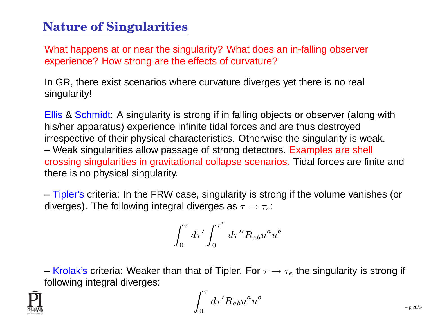#### **Nature of Singularities**

What happens at or near the singularity? What does an in-falling observerexperience? How strong are the effects of curvature?

In GR, there exist scenarios where curvature diverges yet there is no real singularity!

Ellis & Schmidt: A singularity is strong if in falling objects or observer (along with his/her apparatus) experience infinite tidal forces and are thus destroyed irrespective of their physical characteristics. Otherwise the singularity is weak. – Weak singularities allow passage of strong detectors. Examples are shell crossing singularities in gravitational collapse scenarios. Tidal forces are finite andthere is no physical singularity.

– Tipler's criteria: In the FRW case, singularity is strong if the volume vanishes (or diverges). The following integral diverges as  $\tau\to\tau_e$ :

$$
\int_0^\tau d\tau' \int_0^{\tau'} d\tau'' R_{ab} u^a u^b
$$

– Krolak's criteria: Weaker than that of Tipler. For  $\tau \rightarrow \tau_e$  the singularity is strong if following integral diverges:

$$
\int_0^\tau d\tau' R_{ab} u^a u^b
$$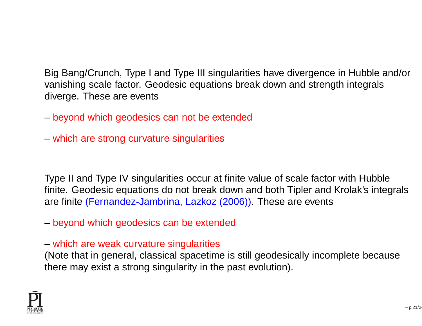Big Bang/Crunch, Type I and Type III singularities have divergence in Hubble and/orvanishing scale factor. Geodesic equations break down and strength integralsdiverge. These are events

- beyond which geodesics can not be extended
- which are strong curvature singularities

Type II and Type IV singularities occur at finite value of scale factor with Hubble finite. Geodesic equations do not break down and both Tipler and Krolak's integralsare finite (Fernandez-Jambrina, Lazkoz (2006)). These are events

- beyond which geodesics can be extended
- which are weak curvature singularities

(Note that in general, classical spacetime is still geodesically incomplete becausethere may exist <sup>a</sup> strong singularity in the past evolution).

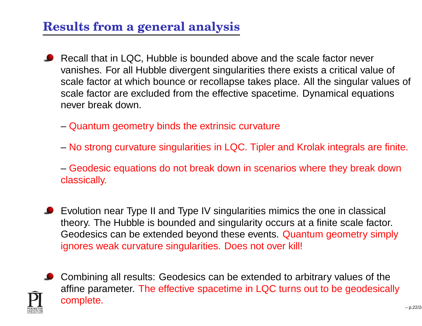## **Results from <sup>a</sup> general analysis**

- Recall that in LQC, Hubble is bounded above and the scale factor never vanishes. For all Hubble divergent singularities there exists <sup>a</sup> critical value of scale factor at which bounce or recollapse takes place. All the singular values of scale factor are excluded from the effective spacetime. Dynamical equationsnever break down.
	- Quantum geometry binds the extrinsic curvature
	- No strong curvature singularities in LQC. Tipler and Krolak integrals are finite.
	- Geodesic equations do not break down in scenarios where they break down classically.
- Evolution near Type II and Type IV singularities mimics the one in classical theory. The Hubble is bounded and singularity occurs at <sup>a</sup> finite scale factor. Geodesics can be extended beyond these events. Quantum geometry simplyignores weak curvature singularities. Does not over kill!
- **Combining all results: Geodesics can be extended to arbitrary values of the**  affine parameter. The effective spacetime in LQC turns out to be geodesicallycomplete.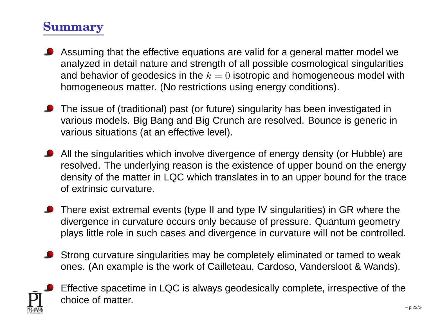## **Summary**

- Assuming that the effective equations are valid for <sup>a</sup> general matter model we analyzed in detail nature and strength of all possible cosmological singularitiesand behavior of geodesics in the  $k=0$  isotropic and homogeneous model with homogeneous matter. (No restrictions using energy conditions).
- The issue of (traditional) past (or future) singularity has been investigated in various models. Big Bang and Big Crunch are resolved. Bounce is generic in various situations (at an effective level).
- All the singularities which involve divergence of energy density (or Hubble) are resolved. The underlying reason is the existence of upper bound on the energy density of the matter in LQC which translates in to an upper bound for the traceof extrinsic curvature.
- **O** There exist extremal events (type II and type IV singularities) in GR where the divergence in curvature occurs only because of pressure. Quantum geometryplays little role in such cases and divergence in curvature will not be controlled.
- Strong curvature singularities may be completely eliminated or tamed to weakones. (An example is the work of Cailleteau, Cardoso, Vandersloot & Wands).



Effective spacetime in LQC is always geodesically complete, irrespective of thechoice of matter.